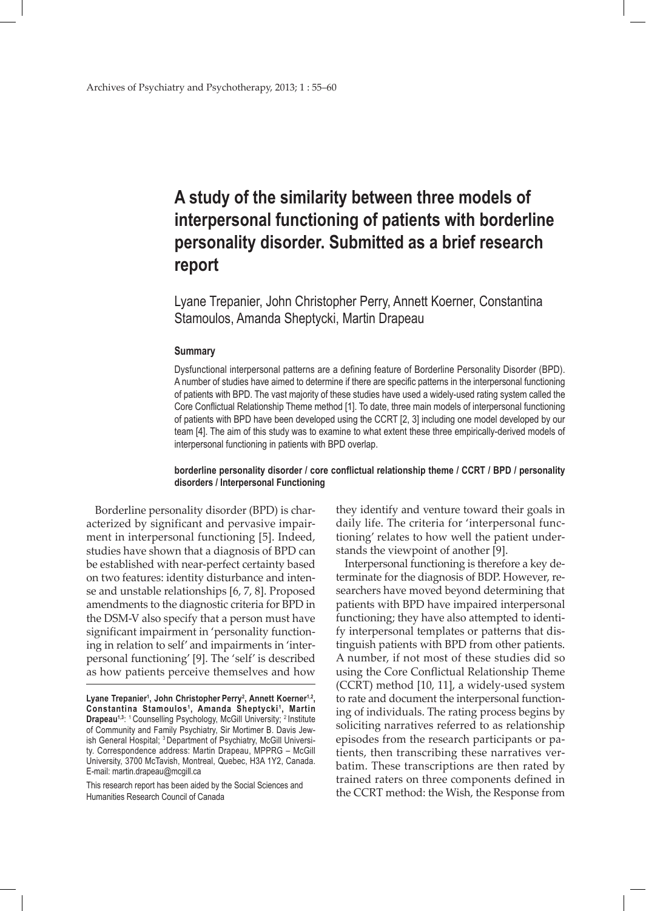# **A study of the similarity between three models of interpersonal functioning of patients with borderline personality disorder. Submitted as a brief research report**

Lyane Trepanier, John Christopher Perry, Annett Koerner, Constantina Stamoulos, Amanda Sheptycki, Martin Drapeau

## **Summary**

Dysfunctional interpersonal patterns are a defining feature of Borderline Personality Disorder (BPD). A number of studies have aimed to determine if there are specific patterns in the interpersonal functioning of patients with BPD. The vast majority of these studies have used a widely-used rating system called the Core Conflictual Relationship Theme method [1]. To date, three main models of interpersonal functioning of patients with BPD have been developed using the CCRT [2, 3] including one model developed by our team [4]. The aim of this study was to examine to what extent these three empirically-derived models of interpersonal functioning in patients with BPD overlap.

### **borderline personality disorder / core conflictual relationship theme / CCRT / BPD / personality disorders / Interpersonal Functioning**

Borderline personality disorder (BPD) is characterized by significant and pervasive impairment in interpersonal functioning [5]. Indeed, studies have shown that a diagnosis of BPD can be established with near-perfect certainty based on two features: identity disturbance and intense and unstable relationships [6, 7, 8]. Proposed amendments to the diagnostic criteria for BPD in the DSM-V also specify that a person must have significant impairment in 'personality functioning in relation to self' and impairments in 'interpersonal functioning' [9]. The 'self' is described as how patients perceive themselves and how

This research report has been aided by the Social Sciences and Humanities Research Council of Canada

they identify and venture toward their goals in daily life. The criteria for 'interpersonal functioning' relates to how well the patient understands the viewpoint of another [9].

Interpersonal functioning is therefore a key determinate for the diagnosis of BDP. However, researchers have moved beyond determining that patients with BPD have impaired interpersonal functioning; they have also attempted to identify interpersonal templates or patterns that distinguish patients with BPD from other patients. A number, if not most of these studies did so using the Core Conflictual Relationship Theme (CCRT) method [10, 11], a widely-used system to rate and document the interpersonal functioning of individuals. The rating process begins by soliciting narratives referred to as relationship episodes from the research participants or patients, then transcribing these narratives verbatim. These transcriptions are then rated by trained raters on three components defined in the CCRT method: the Wish, the Response from

Lyane Trepanier<sup>1</sup>, John Christopher Perry<sup>2</sup>, Annett Koerner<sup>1,2</sup>, **Constantina Stamoulos<sup>1</sup> , Amanda Sheptycki <sup>1</sup> , Martin Drapeau<sup>1,3</sup>:** <sup>1</sup> Counselling Psychology, McGill University; <sup>2</sup> Institute of Community and Family Psychiatry, Sir Mortimer B. Davis Jewish General Hospital; <sup>3</sup> Department of Psychiatry, McGill University. Correspondence address: Martin Drapeau, MPPRG – McGill University, 3700 McTavish, Montreal, Quebec, H3A 1Y2, Canada. E-mail: martin.drapeau@mcgill.ca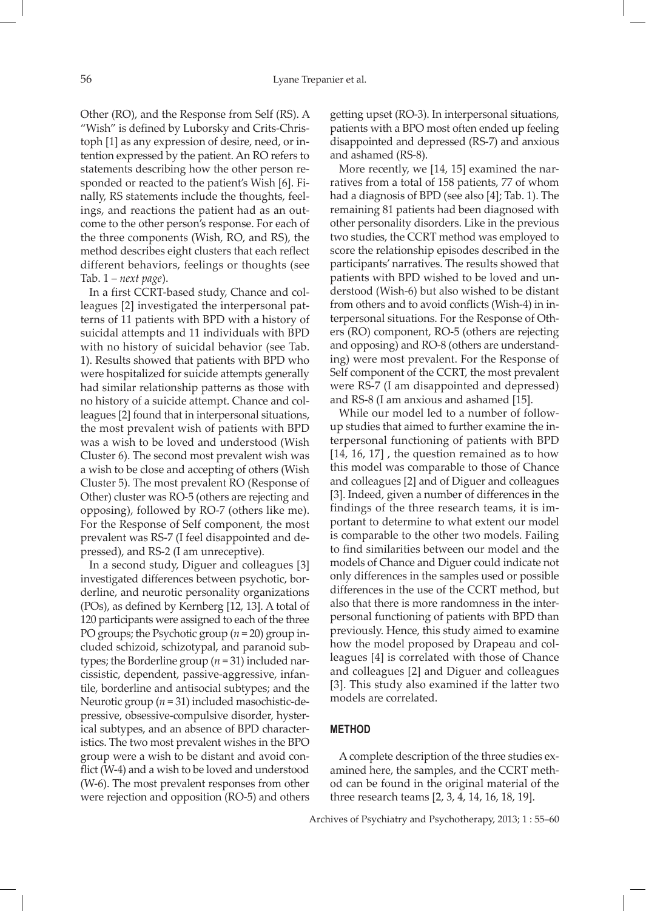Other (RO), and the Response from Self (RS). A "Wish" is defined by Luborsky and Crits-Christoph [1] as any expression of desire, need, or intention expressed by the patient. An RO refers to statements describing how the other person responded or reacted to the patient's Wish [6]. Finally, RS statements include the thoughts, feelings, and reactions the patient had as an outcome to the other person's response. For each of the three components (Wish, RO, and RS), the method describes eight clusters that each reflect different behaviors, feelings or thoughts (see Tab. 1 – *next page*).

In a first CCRT-based study, Chance and colleagues [2] investigated the interpersonal patterns of 11 patients with BPD with a history of suicidal attempts and 11 individuals with BPD with no history of suicidal behavior (see Tab. 1). Results showed that patients with BPD who were hospitalized for suicide attempts generally had similar relationship patterns as those with no history of a suicide attempt. Chance and colleagues [2] found that in interpersonal situations, the most prevalent wish of patients with BPD was a wish to be loved and understood (Wish Cluster 6). The second most prevalent wish was a wish to be close and accepting of others (Wish Cluster 5). The most prevalent RO (Response of Other) cluster was RO-5 (others are rejecting and opposing), followed by RO-7 (others like me). For the Response of Self component, the most prevalent was RS-7 (I feel disappointed and depressed), and RS-2 (I am unreceptive).

In a second study, Diguer and colleagues [3] investigated differences between psychotic, borderline, and neurotic personality organizations (POs), as defined by Kernberg [12, 13]. A total of 120 participants were assigned to each of the three PO groups; the Psychotic group (*n* = 20) group included schizoid, schizotypal, and paranoid subtypes; the Borderline group (*n* = 31) included narcissistic, dependent, passive-aggressive, infantile, borderline and antisocial subtypes; and the Neurotic group (*n* = 31) included masochistic-depressive, obsessive-compulsive disorder, hysterical subtypes, and an absence of BPD characteristics. The two most prevalent wishes in the BPO group were a wish to be distant and avoid conflict (W-4) and a wish to be loved and understood (W-6). The most prevalent responses from other were rejection and opposition (RO-5) and others

getting upset (RO-3). In interpersonal situations, patients with a BPO most often ended up feeling disappointed and depressed (RS-7) and anxious and ashamed (RS-8).

More recently, we [14, 15] examined the narratives from a total of 158 patients, 77 of whom had a diagnosis of BPD (see also [4]; Tab. 1). The remaining 81 patients had been diagnosed with other personality disorders. Like in the previous two studies, the CCRT method was employed to score the relationship episodes described in the participants' narratives. The results showed that patients with BPD wished to be loved and understood (Wish-6) but also wished to be distant from others and to avoid conflicts (Wish-4) in interpersonal situations. For the Response of Others (RO) component, RO-5 (others are rejecting and opposing) and RO-8 (others are understanding) were most prevalent. For the Response of Self component of the CCRT, the most prevalent were RS-7 (I am disappointed and depressed) and RS-8 (I am anxious and ashamed [15].

While our model led to a number of followup studies that aimed to further examine the interpersonal functioning of patients with BPD [14, 16, 17], the question remained as to how this model was comparable to those of Chance and colleagues [2] and of Diguer and colleagues [3]. Indeed, given a number of differences in the findings of the three research teams, it is important to determine to what extent our model is comparable to the other two models. Failing to find similarities between our model and the models of Chance and Diguer could indicate not only differences in the samples used or possible differences in the use of the CCRT method, but also that there is more randomness in the interpersonal functioning of patients with BPD than previously. Hence, this study aimed to examine how the model proposed by Drapeau and colleagues [4] is correlated with those of Chance and colleagues [2] and Diguer and colleagues [3]. This study also examined if the latter two models are correlated.

## **Method**

A complete description of the three studies examined here, the samples, and the CCRT method can be found in the original material of the three research teams [2, 3, 4, 14, 16, 18, 19].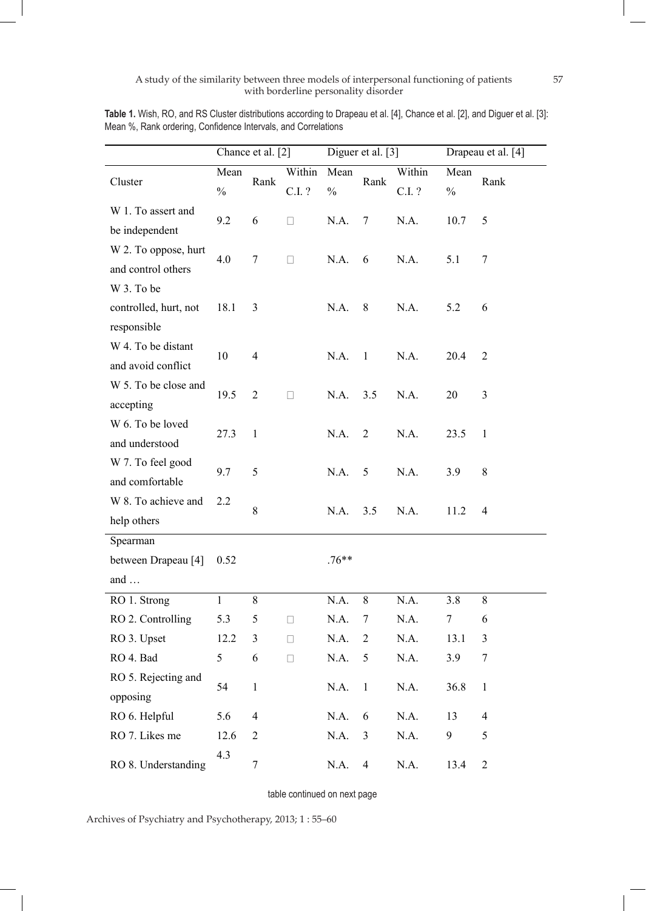|                       |                       | Chance et al. [2] |                  | Diguer et al. [3]     |                | Drapeau et al. [4] |                       |                          |
|-----------------------|-----------------------|-------------------|------------------|-----------------------|----------------|--------------------|-----------------------|--------------------------|
| Cluster               | Mean<br>$\frac{0}{0}$ | Rank              | Within<br>C.I. ? | Mean<br>$\frac{0}{0}$ | Rank           | Within<br>C.I. ?   | Mean<br>$\frac{0}{0}$ | Rank                     |
| W 1. To assert and    | 9.2                   | 6                 | $\mathbf{L}$     | N.A.                  | $\overline{7}$ | N.A.               | 10.7                  |                          |
| be independent        |                       |                   |                  |                       |                |                    |                       | 5                        |
| W 2. To oppose, hurt  | 4.0                   | $\overline{7}$    | $\Box$           | N.A.                  | 6              | N.A.               | 5.1                   | $\tau$                   |
| and control others    |                       |                   |                  |                       |                |                    |                       |                          |
| W 3. To be            |                       |                   |                  |                       |                |                    |                       |                          |
| controlled, hurt, not | 18.1                  | 3                 |                  | N.A.                  | 8              | N.A.               | 5.2                   | 6                        |
| responsible           |                       |                   |                  |                       |                |                    |                       |                          |
| W 4. To be distant    | 10                    | $\overline{4}$    |                  | N.A.                  | $\mathbf{1}$   | N.A.               | 20.4                  | $\overline{2}$           |
| and avoid conflict    |                       |                   |                  |                       |                |                    |                       |                          |
| W 5. To be close and  | 19.5                  | $\overline{2}$    | $\Box$           | N.A.                  | 3.5            | N.A.               | 20                    | 3                        |
| accepting             |                       |                   |                  |                       |                |                    |                       |                          |
| W 6. To be loved      | 27.3                  | $\mathbf{1}$      |                  | N.A.                  | $\overline{2}$ | N.A.               | 23.5                  | $\mathbf{1}$             |
| and understood        |                       |                   |                  |                       |                |                    |                       |                          |
| W 7. To feel good     | 9.7                   | 5                 |                  | N.A.                  | 5              | N.A.               | 3.9                   | 8                        |
| and comfortable       |                       |                   |                  |                       |                |                    |                       |                          |
| W 8. To achieve and   | 2.2                   | 8                 |                  | N.A.                  | 3.5            | N.A.               | 11.2                  | $\overline{4}$           |
| help others           |                       |                   |                  |                       |                |                    |                       |                          |
| Spearman              |                       |                   |                  |                       |                |                    |                       |                          |
| between Drapeau [4]   | 0.52                  |                   |                  | $.76**$               |                |                    |                       |                          |
| and $\dots$           |                       |                   |                  |                       |                |                    |                       |                          |
| RO 1. Strong          | $\mathbf{1}$          | 8                 |                  | N.A.                  | 8              | N.A.               | 3.8                   | $8\,$                    |
| RO 2. Controlling     | 5.3                   | 5                 | Ш                | N.A.                  | 7              | N.A.               | 7                     | 6                        |
| RO 3. Upset           | 12.2                  | 3                 | $\Box$           | N.A.                  | $\overline{c}$ | N.A.               | 13.1                  | 3                        |
| RO 4. Bad             | 5                     | 6                 | $\Box$           | N.A.                  | 5              | N.A.               | 3.9                   | 7                        |
| RO 5. Rejecting and   | 54                    | $\mathbf{1}$      |                  | N.A.                  | $\mathbf{1}$   | N.A.               | 36.8                  | $\mathbf{1}$             |
| opposing              |                       |                   |                  |                       |                |                    |                       |                          |
| RO 6. Helpful         | 5.6                   | $\overline{4}$    |                  | N.A.                  | 6              | N.A.               | 13                    | $\overline{\mathcal{A}}$ |
| RO 7. Likes me        | 12.6                  | 2                 |                  | N.A.                  | 3              | N.A.               | 9                     | 5                        |
| RO 8. Understanding   | 4.3                   | $\boldsymbol{7}$  |                  | N.A.                  | $\overline{4}$ | N.A.               | 13.4                  | $\overline{2}$           |

**Table 1.** Wish, RO, and RS Cluster distributions according to Drapeau et al. [4], Chance et al. [2], and Diguer et al. [3]: Mean %, Rank ordering, Confidence Intervals, and Correlations

table continued on next page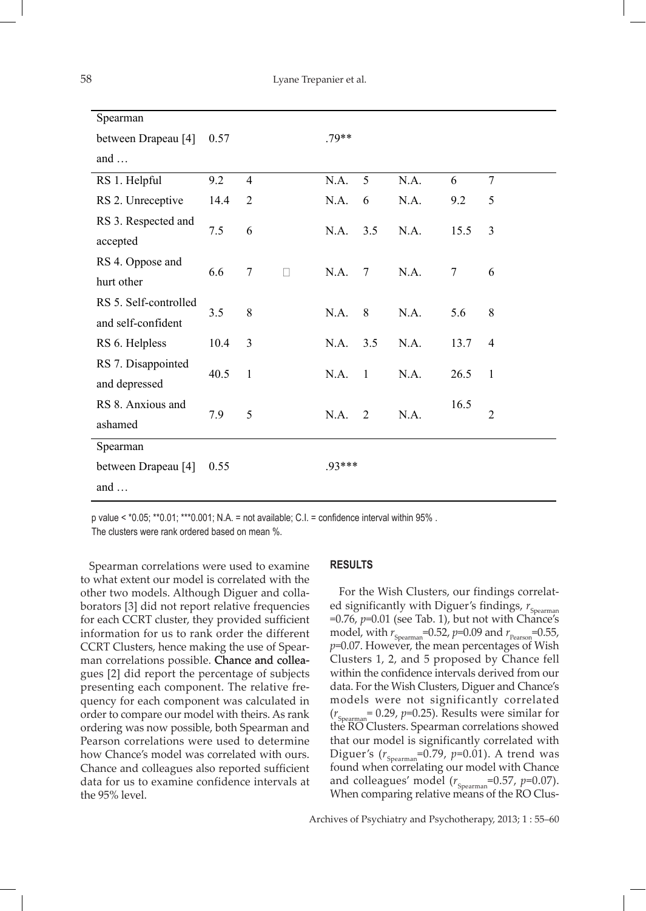| Spearman                                    |      |                |   |         |                 |      |        |                |
|---------------------------------------------|------|----------------|---|---------|-----------------|------|--------|----------------|
| between Drapeau [4]                         | 0.57 |                |   | $.79**$ |                 |      |        |                |
| and $\dots$                                 |      |                |   |         |                 |      |        |                |
| RS 1. Helpful                               | 9.2  | $\overline{4}$ |   | N.A.    | 5               | N.A. | 6      | $\overline{7}$ |
| RS 2. Unreceptive                           | 14.4 | $\overline{2}$ |   | N.A.    | 6               | N.A. | 9.2    | 5              |
| RS 3. Respected and<br>accepted             | 7.5  | 6              |   | N.A.    | 3.5             | N.A. | 15.5   | 3              |
| RS 4. Oppose and<br>hurt other              | 6.6  | $\overline{7}$ | П | N.A.    | $7\phantom{.0}$ | N.A. | $\tau$ | 6              |
| RS 5. Self-controlled<br>and self-confident | 3.5  | 8              |   | N.A.    | 8               | N.A. | 5.6    | 8              |
| RS 6. Helpless                              | 10.4 | 3              |   | N.A.    | 3.5             | N.A. | 13.7   | $\overline{4}$ |
| RS 7. Disappointed<br>and depressed         | 40.5 | $\mathbf{1}$   |   | N.A.    | $\overline{1}$  | N.A. | 26.5   | $\mathbf{1}$   |
| RS 8. Anxious and<br>ashamed                | 7.9  | 5              |   | N.A.    | $\overline{2}$  | N.A. | 16.5   | $\overline{2}$ |
| Spearman                                    |      |                |   |         |                 |      |        |                |
| between Drapeau [4]                         | 0.55 |                |   | .93***  |                 |      |        |                |
| and $\dots$                                 |      |                |   |         |                 |      |        |                |

p value < \*0.05; \*\*0.01; \*\*\*0.001; N.A. = not available; C.I. = confidence interval within 95% .

The clusters were rank ordered based on mean %.

Spearman correlations were used to examine to what extent our model is correlated with the other two models. Although Diguer and collaborators [3] did not report relative frequencies for each CCRT cluster, they provided sufficient information for us to rank order the different CCRT Clusters, hence making the use of Spearman correlations possible. Chance and colleagues [2] did report the percentage of subjects presenting each component. The relative frequency for each component was calculated in order to compare our model with theirs. As rank ordering was now possible, both Spearman and Pearson correlations were used to determine how Chance's model was correlated with ours. Chance and colleagues also reported sufficient data for us to examine confidence intervals at the 95% level.

## **Results**

For the Wish Clusters, our findings correlated significantly with Diguer's findings,  $r_{\rm Spearman}$ =0.76, *p*=0.01 (see Tab. 1), but not with Chance's model, with  $r_{Spearman}$ =0.52,  $p$ =0.09 and  $r_{Pearson}$ =0.55, *p*=0.07. However, the mean percentages of Wish Clusters 1, 2, and 5 proposed by Chance fell within the confidence intervals derived from our data. For the Wish Clusters, Diguer and Chance's models were not significantly correlated  $(r<sub>Spearman</sub> = 0.29, p=0.25)$ . Results were similar for the RO Clusters. Spearman correlations showed that our model is significantly correlated with Diguer's  $(r_{Spearman} = 0.79, p = 0.01)$ . A trend was found when correlating our model with Chance and colleagues' model ( $r_{Spearman}$ =0.57,  $p$ =0.07). When comparing relative means of the RO Clus-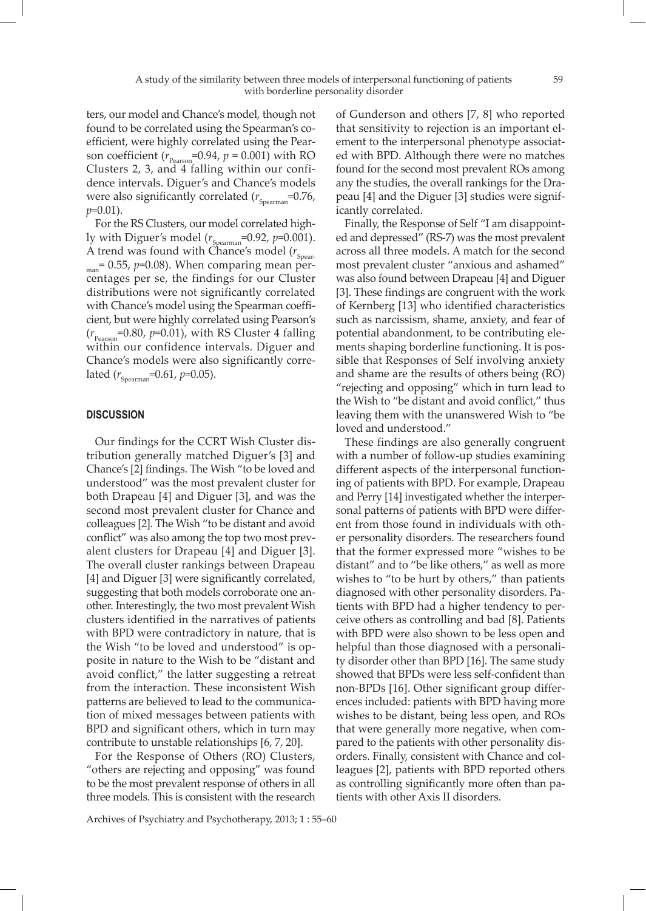ters, our model and Chance's model, though not found to be correlated using the Spearman's coefficient, were highly correlated using the Pearson coefficient ( $r_{\text{Pearson}}$ =0.94,  $p$  = 0.001) with RO Clusters 2, 3, and 4 falling within our confidence intervals. Diguer's and Chance's models were also significantly correlated  $(r_{Spearman}=0.76,$ *p*=0.01).

For the RS Clusters, our model correlated highly with Diguer's model ( $r_{Spearman}$ =0.92,  $p$ =0.001). A trend was found with Chance's model  $(r_{\text{Spear}})$  $_{\text{man}}$ = 0.55,  $p$ =0.08). When comparing mean percentages per se, the findings for our Cluster distributions were not significantly correlated with Chance's model using the Spearman coefficient, but were highly correlated using Pearson's  $(r_{\text{Pearson}} = 0.80, p = 0.01)$ , with RS Cluster 4 falling within our confidence intervals. Diguer and Chance's models were also significantly correlated  $(r_{Spearman} = 0.61, p = 0.05)$ .

## **Discussion**

Our findings for the CCRT Wish Cluster distribution generally matched Diguer's [3] and Chance's [2] findings. The Wish "to be loved and understood" was the most prevalent cluster for both Drapeau [4] and Diguer [3], and was the second most prevalent cluster for Chance and colleagues [2]. The Wish "to be distant and avoid conflict" was also among the top two most prevalent clusters for Drapeau [4] and Diguer [3]. The overall cluster rankings between Drapeau [4] and Diguer [3] were significantly correlated, suggesting that both models corroborate one another. Interestingly, the two most prevalent Wish clusters identified in the narratives of patients with BPD were contradictory in nature, that is the Wish "to be loved and understood" is opposite in nature to the Wish to be "distant and avoid conflict," the latter suggesting a retreat from the interaction. These inconsistent Wish patterns are believed to lead to the communication of mixed messages between patients with BPD and significant others, which in turn may contribute to unstable relationships [6, 7, 20].

For the Response of Others (RO) Clusters, "others are rejecting and opposing" was found to be the most prevalent response of others in all three models. This is consistent with the research of Gunderson and others [7, 8] who reported that sensitivity to rejection is an important element to the interpersonal phenotype associated with BPD. Although there were no matches found for the second most prevalent ROs among any the studies, the overall rankings for the Drapeau [4] and the Diguer [3] studies were significantly correlated.

Finally, the Response of Self "I am disappointed and depressed" (RS-7) was the most prevalent across all three models. A match for the second most prevalent cluster "anxious and ashamed" was also found between Drapeau [4] and Diguer [3]. These findings are congruent with the work of Kernberg [13] who identified characteristics such as narcissism, shame, anxiety, and fear of potential abandonment, to be contributing elements shaping borderline functioning. It is possible that Responses of Self involving anxiety and shame are the results of others being (RO) "rejecting and opposing" which in turn lead to the Wish to "be distant and avoid conflict," thus leaving them with the unanswered Wish to "be loved and understood."

These findings are also generally congruent with a number of follow-up studies examining different aspects of the interpersonal functioning of patients with BPD. For example, Drapeau and Perry [14] investigated whether the interpersonal patterns of patients with BPD were different from those found in individuals with other personality disorders. The researchers found that the former expressed more "wishes to be distant" and to "be like others," as well as more wishes to "to be hurt by others," than patients diagnosed with other personality disorders. Patients with BPD had a higher tendency to perceive others as controlling and bad [8]. Patients with BPD were also shown to be less open and helpful than those diagnosed with a personality disorder other than BPD [16]. The same study showed that BPDs were less self-confident than non-BPDs [16]. Other significant group differences included: patients with BPD having more wishes to be distant, being less open, and ROs that were generally more negative, when compared to the patients with other personality disorders. Finally, consistent with Chance and colleagues [2], patients with BPD reported others as controlling significantly more often than patients with other Axis II disorders.